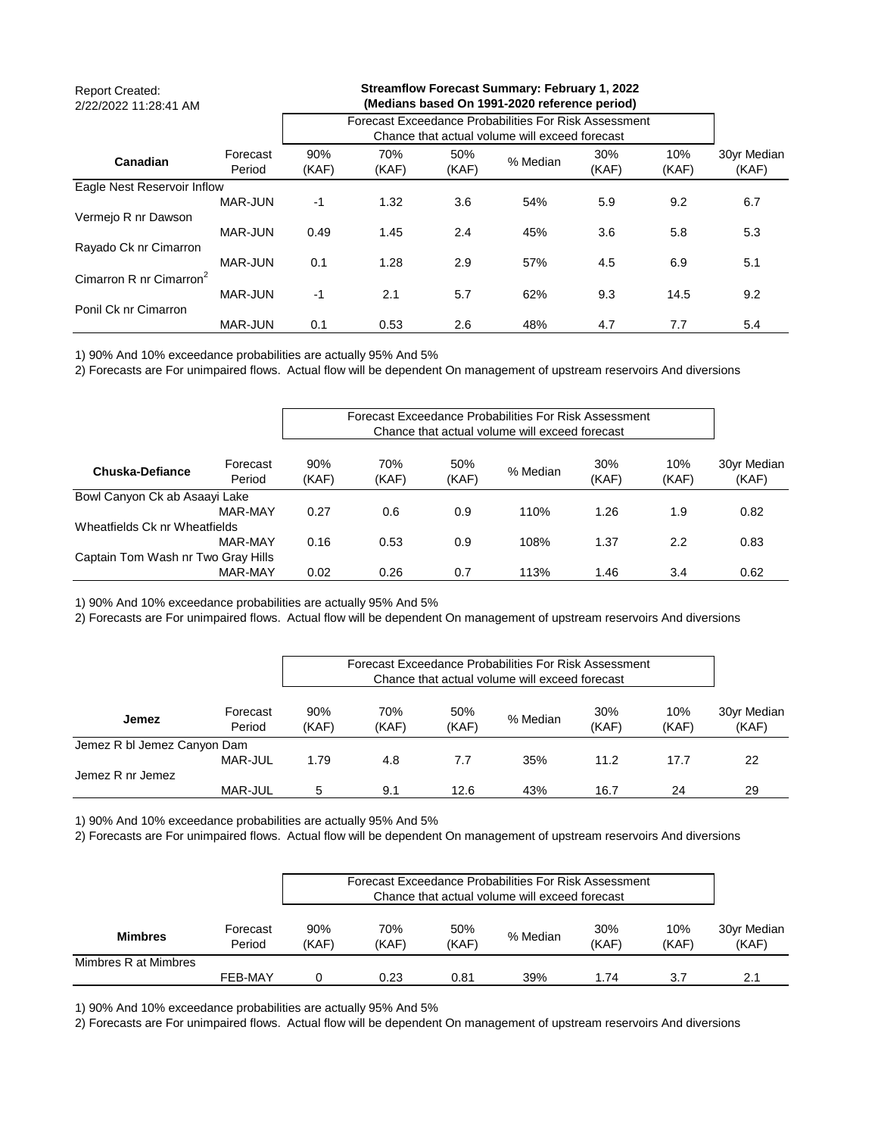| <b>Report Created:</b><br>2/22/2022 11:28:41 AM |                    |                                                       |              |              |          |              |              |                      |
|-------------------------------------------------|--------------------|-------------------------------------------------------|--------------|--------------|----------|--------------|--------------|----------------------|
|                                                 |                    | Forecast Exceedance Probabilities For Risk Assessment |              |              |          |              |              |                      |
| Canadian                                        | Forecast<br>Period | 90%<br>(KAF)                                          | 70%<br>(KAF) | 50%<br>(KAF) | % Median | 30%<br>(KAF) | 10%<br>(KAF) | 30yr Median<br>(KAF) |
| Eagle Nest Reservoir Inflow                     |                    |                                                       |              |              |          |              |              |                      |
|                                                 | MAR-JUN            | $-1$                                                  | 1.32         | 3.6          | 54%      | 5.9          | 9.2          | 6.7                  |
| Vermejo R nr Dawson                             |                    |                                                       |              |              |          |              |              |                      |
|                                                 | MAR-JUN            | 0.49                                                  | 1.45         | 2.4          | 45%      | 3.6          | 5.8          | 5.3                  |
| Rayado Ck nr Cimarron                           |                    |                                                       |              |              |          |              |              |                      |
|                                                 | MAR-JUN            | 0.1                                                   | 1.28         | 2.9          | 57%      | 4.5          | 6.9          | 5.1                  |
| Cimarron R nr Cimarron <sup>2</sup>             |                    |                                                       |              |              |          |              |              |                      |
|                                                 | <b>MAR-JUN</b>     | $-1$                                                  | 2.1          | 5.7          | 62%      | 9.3          | 14.5         | 9.2                  |
| Ponil Ck nr Cimarron                            |                    |                                                       |              |              |          |              |              |                      |
|                                                 | <b>MAR-JUN</b>     | 0.1                                                   | 0.53         | 2.6          | 48%      | 4.7          | 7.7          | 5.4                  |

2) Forecasts are For unimpaired flows. Actual flow will be dependent On management of upstream reservoirs And diversions

|                                    |                    |              |              |              |          | Forecast Exceedance Probabilities For Risk Assessment<br>Chance that actual volume will exceed forecast |              |                      |
|------------------------------------|--------------------|--------------|--------------|--------------|----------|---------------------------------------------------------------------------------------------------------|--------------|----------------------|
| Chuska-Defiance                    | Forecast<br>Period | 90%<br>(KAF) | 70%<br>(KAF) | 50%<br>(KAF) | % Median | 30%<br>(KAF)                                                                                            | 10%<br>(KAF) | 30yr Median<br>(KAF) |
| Bowl Canyon Ck ab Asaayi Lake      |                    |              |              |              |          |                                                                                                         |              |                      |
|                                    | MAR-MAY            | 0.27         | 0.6          | 0.9          | 110%     | 1.26                                                                                                    | 1.9          | 0.82                 |
| Wheatfields Ck nr Wheatfields      |                    |              |              |              |          |                                                                                                         |              |                      |
|                                    | MAR-MAY            | 0.16         | 0.53         | 0.9          | 108%     | 1.37                                                                                                    | 2.2          | 0.83                 |
| Captain Tom Wash nr Two Gray Hills |                    |              |              |              |          |                                                                                                         |              |                      |
|                                    | MAR-MAY            | 0.02         | 0.26         | 0.7          | 113%     | 1.46                                                                                                    | 3.4          | 0.62                 |

1) 90% And 10% exceedance probabilities are actually 95% And 5%

2) Forecasts are For unimpaired flows. Actual flow will be dependent On management of upstream reservoirs And diversions

|                             |                    |              |              |              | Forecast Exceedance Probabilities For Risk Assessment<br>Chance that actual volume will exceed forecast |              |              |                      |
|-----------------------------|--------------------|--------------|--------------|--------------|---------------------------------------------------------------------------------------------------------|--------------|--------------|----------------------|
| <b>Jemez</b>                | Forecast<br>Period | 90%<br>(KAF) | 70%<br>(KAF) | 50%<br>(KAF) | % Median                                                                                                | 30%<br>(KAF) | 10%<br>(KAF) | 30yr Median<br>(KAF) |
| Jemez R bl Jemez Canyon Dam |                    |              |              |              |                                                                                                         |              |              |                      |
|                             | MAR-JUL            | 1.79         | 4.8          | 7.7          | 35%                                                                                                     | 11.2         | 17.7         | 22                   |
| Jemez R nr Jemez            |                    |              |              |              |                                                                                                         |              |              |                      |
|                             | <b>MAR-JUL</b>     | 5            | 9.1          | 12.6         | 43%                                                                                                     | 16.7         | 24           | -29                  |

1) 90% And 10% exceedance probabilities are actually 95% And 5%

2) Forecasts are For unimpaired flows. Actual flow will be dependent On management of upstream reservoirs And diversions

|                      |                    | Forecast Exceedance Probabilities For Risk Assessment<br>Chance that actual volume will exceed forecast |              |              |          |              |              |                      |
|----------------------|--------------------|---------------------------------------------------------------------------------------------------------|--------------|--------------|----------|--------------|--------------|----------------------|
| <b>Mimbres</b>       | Forecast<br>Period | 90%<br>(KAF)                                                                                            | 70%<br>(KAF) | 50%<br>(KAF) | % Median | 30%<br>(KAF) | 10%<br>(KAF) | 30yr Median<br>(KAF) |
| Mimbres R at Mimbres |                    |                                                                                                         |              |              |          |              |              |                      |
|                      | FEB-MAY            |                                                                                                         | 0.23         | 0.81         | 39%      | 1.74         | 3.7          | 2.1                  |

1) 90% And 10% exceedance probabilities are actually 95% And 5%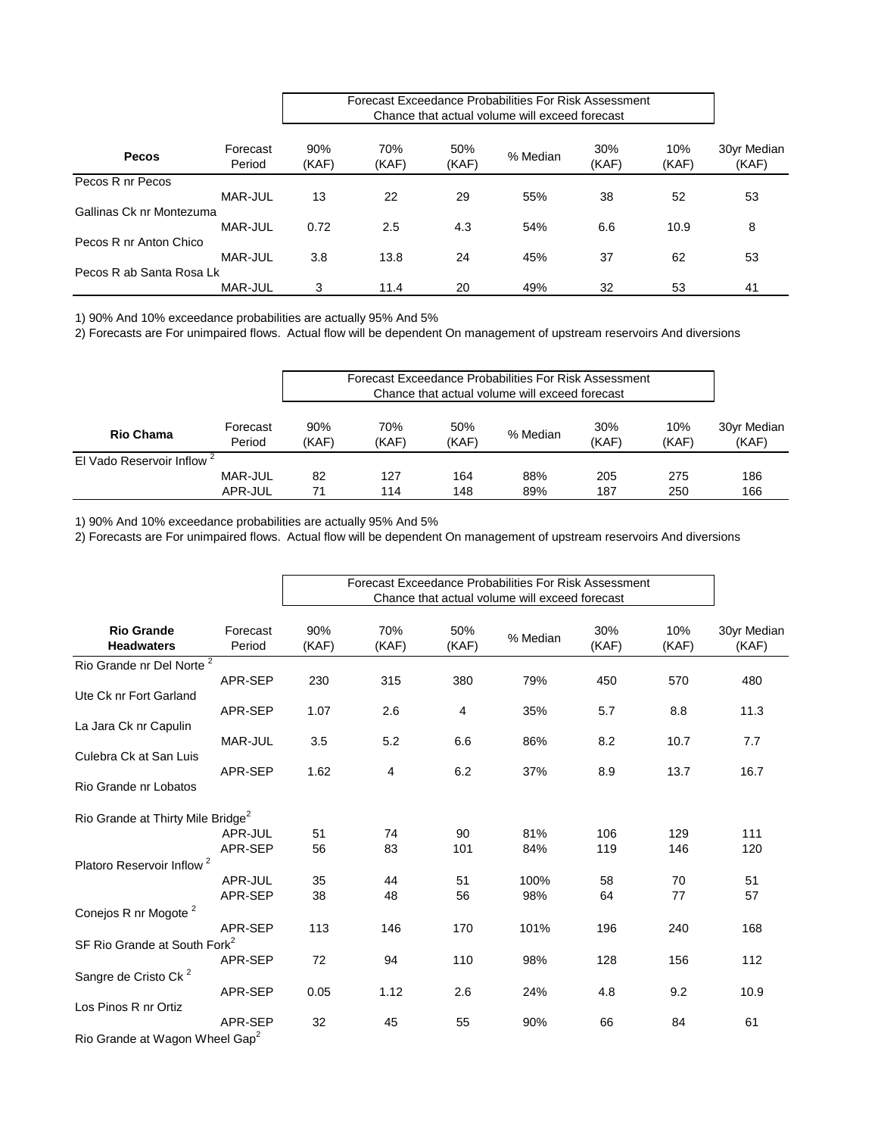|                          |                    | Forecast Exceedance Probabilities For Risk Assessment |              |              |          |              |              |                      |
|--------------------------|--------------------|-------------------------------------------------------|--------------|--------------|----------|--------------|--------------|----------------------|
| <b>Pecos</b>             | Forecast<br>Period | 90%<br>(KAF)                                          | 70%<br>(KAF) | 50%<br>(KAF) | % Median | 30%<br>(KAF) | 10%<br>(KAF) | 30yr Median<br>(KAF) |
| Pecos R nr Pecos         |                    |                                                       |              |              |          |              |              |                      |
|                          | MAR-JUL            | 13                                                    | 22           | 29           | 55%      | 38           | 52           | 53                   |
| Gallinas Ck nr Montezuma |                    |                                                       |              |              |          |              |              |                      |
|                          | <b>MAR-JUL</b>     | 0.72                                                  | 2.5          | 4.3          | 54%      | 6.6          | 10.9         | 8                    |
| Pecos R nr Anton Chico   |                    |                                                       |              |              |          |              |              |                      |
|                          | MAR-JUL            | 3.8                                                   | 13.8         | 24           | 45%      | 37           | 62           | 53                   |
| Pecos R ab Santa Rosa Lk |                    |                                                       |              |              |          |              |              |                      |
|                          | <b>MAR-JUL</b>     | 3                                                     | 11.4         | 20           | 49%      | 32           | 53           | 41                   |

2) Forecasts are For unimpaired flows. Actual flow will be dependent On management of upstream reservoirs And diversions

|                                       |                    | Forecast Exceedance Probabilities For Risk Assessment<br>Chance that actual volume will exceed forecast |              |              |          |              |              |                      |
|---------------------------------------|--------------------|---------------------------------------------------------------------------------------------------------|--------------|--------------|----------|--------------|--------------|----------------------|
| <b>Rio Chama</b>                      | Forecast<br>Period | 90%<br>(KAF)                                                                                            | 70%<br>(KAF) | 50%<br>(KAF) | % Median | 30%<br>(KAF) | 10%<br>(KAF) | 30yr Median<br>(KAF) |
| El Vado Reservoir Inflow <sup>2</sup> |                    |                                                                                                         |              |              |          |              |              |                      |
|                                       | MAR-JUL            | 82                                                                                                      | 127          | 164          | 88%      | 205          | 275          | 186                  |
|                                       | APR-JUL            | 71                                                                                                      | 114          | 148          | 89%      | 187          | 250          | 166                  |

1) 90% And 10% exceedance probabilities are actually 95% And 5%

|                                               |                    | Forecast Exceedance Probabilities For Risk Assessment<br>Chance that actual volume will exceed forecast |              |              |          |              |              |                      |
|-----------------------------------------------|--------------------|---------------------------------------------------------------------------------------------------------|--------------|--------------|----------|--------------|--------------|----------------------|
| <b>Rio Grande</b><br><b>Headwaters</b>        | Forecast<br>Period | 90%<br>(KAF)                                                                                            | 70%<br>(KAF) | 50%<br>(KAF) | % Median | 30%<br>(KAF) | 10%<br>(KAF) | 30yr Median<br>(KAF) |
| Rio Grande nr Del Norte <sup>2</sup>          |                    |                                                                                                         |              |              |          |              |              |                      |
|                                               | APR-SEP            | 230                                                                                                     | 315          | 380          | 79%      | 450          | 570          | 480                  |
| Ute Ck nr Fort Garland                        |                    |                                                                                                         |              |              |          |              |              |                      |
|                                               | APR-SEP            | 1.07                                                                                                    | 2.6          | 4            | 35%      | 5.7          | 8.8          | 11.3                 |
| La Jara Ck nr Capulin                         |                    |                                                                                                         |              |              |          |              |              |                      |
| Culebra Ck at San Luis                        | MAR-JUL            | 3.5                                                                                                     | 5.2          | 6.6          | 86%      | 8.2          | 10.7         | 7.7                  |
|                                               | APR-SEP            | 1.62                                                                                                    | 4            | 6.2          | 37%      | 8.9          | 13.7         | 16.7                 |
| Rio Grande nr Lobatos                         |                    |                                                                                                         |              |              |          |              |              |                      |
| Rio Grande at Thirty Mile Bridge <sup>2</sup> |                    |                                                                                                         |              |              |          |              |              |                      |
|                                               | APR-JUL            | 51                                                                                                      | 74           | 90           | 81%      | 106          | 129          | 111                  |
|                                               | APR-SEP            | 56                                                                                                      | 83           | 101          | 84%      | 119          | 146          | 120                  |
| Platoro Reservoir Inflow <sup>2</sup>         |                    |                                                                                                         |              |              |          |              |              |                      |
|                                               | APR-JUL            | 35                                                                                                      | 44           | 51           | 100%     | 58           | 70           | 51                   |
|                                               | APR-SEP            | 38                                                                                                      | 48           | 56           | 98%      | 64           | 77           | 57                   |
| Conejos R nr Mogote <sup>2</sup>              |                    |                                                                                                         |              |              |          |              |              |                      |
|                                               | APR-SEP            | 113                                                                                                     | 146          | 170          | 101%     | 196          | 240          | 168                  |
| SF Rio Grande at South Fork <sup>2</sup>      |                    |                                                                                                         |              |              |          |              |              |                      |
|                                               | APR-SEP            | 72                                                                                                      | 94           | 110          | 98%      | 128          | 156          | 112                  |
| Sangre de Cristo Ck <sup>2</sup>              |                    |                                                                                                         |              |              |          |              |              |                      |
|                                               | APR-SEP            | 0.05                                                                                                    | 1.12         | 2.6          | 24%      | 4.8          | 9.2          | 10.9                 |
| Los Pinos R nr Ortiz                          |                    |                                                                                                         |              |              |          |              |              |                      |
|                                               | APR-SEP            | 32                                                                                                      | 45           | 55           | 90%      | 66           | 84           | 61                   |
| Rio Grande at Wagon Wheel Gap <sup>2</sup>    |                    |                                                                                                         |              |              |          |              |              |                      |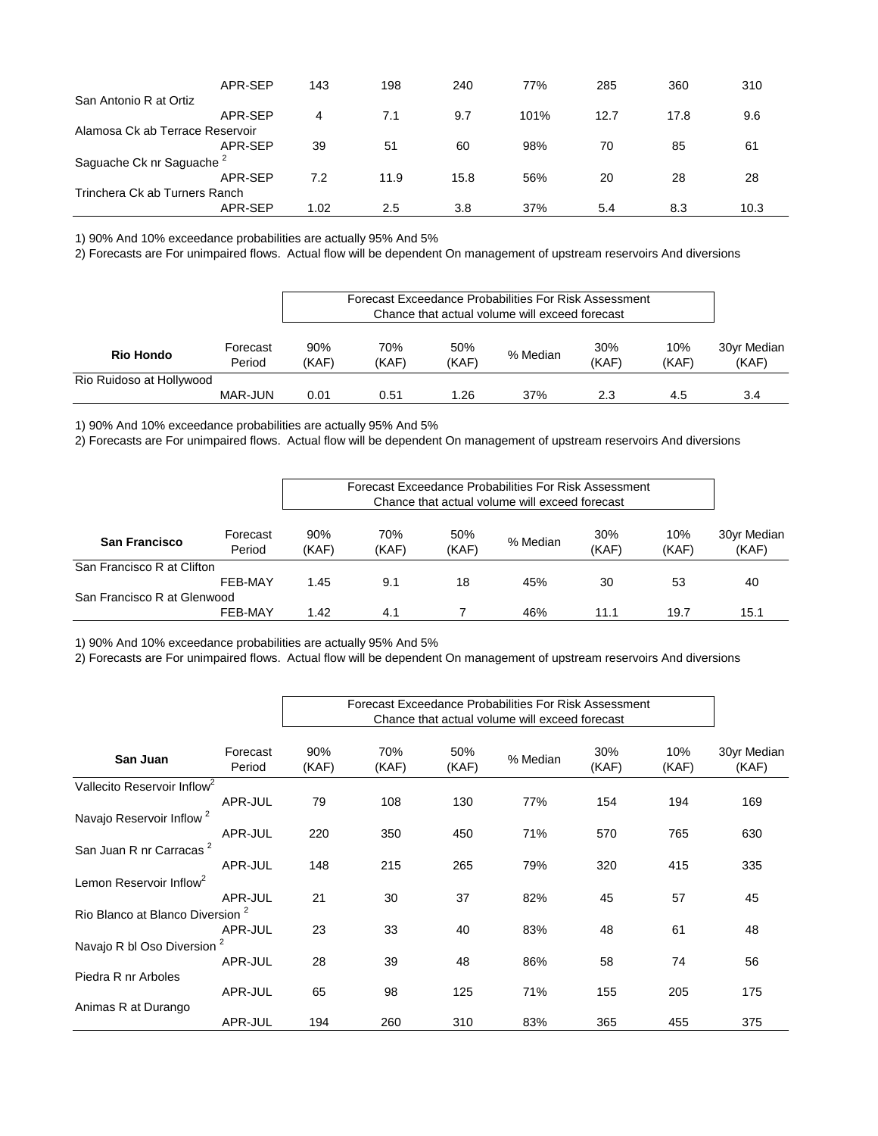|                                      | APR-SEP | 143  | 198  | 240  | 77%  | 285  | 360  | 310  |
|--------------------------------------|---------|------|------|------|------|------|------|------|
| San Antonio R at Ortiz               |         |      |      |      |      |      |      |      |
|                                      | APR-SEP | 4    | 7.1  | 9.7  | 101% | 12.7 | 17.8 | 9.6  |
| Alamosa Ck ab Terrace Reservoir      |         |      |      |      |      |      |      |      |
|                                      | APR-SEP | 39   | 51   | 60   | 98%  | 70   | 85   | 61   |
| Saguache Ck nr Saguache <sup>2</sup> |         |      |      |      |      |      |      |      |
|                                      | APR-SEP | 7.2  | 11.9 | 15.8 | 56%  | 20   | 28   | 28   |
| Trinchera Ck ab Turners Ranch        |         |      |      |      |      |      |      |      |
|                                      | APR-SEP | 1.02 | 2.5  | 3.8  | 37%  | 5.4  | 8.3  | 10.3 |

2) Forecasts are For unimpaired flows. Actual flow will be dependent On management of upstream reservoirs And diversions

|                          |                    |      |                                   |              | Forecast Exceedance Probabilities For Risk Assessment<br>Chance that actual volume will exceed forecast |  |       |                      |  |  |
|--------------------------|--------------------|------|-----------------------------------|--------------|---------------------------------------------------------------------------------------------------------|--|-------|----------------------|--|--|
| <b>Rio Hondo</b>         | Forecast<br>Period |      | 70%<br>(KAF)                      | 50%<br>(KAF) | 30%<br>10%<br>% Median<br>(KAF)                                                                         |  | (KAF) | 30yr Median<br>(KAF) |  |  |
| Rio Ruidoso at Hollywood |                    |      |                                   |              |                                                                                                         |  |       |                      |  |  |
|                          | MAR-JUN            | 0.01 | 37%<br>1.26<br>2.3<br>0.51<br>4.5 |              |                                                                                                         |  |       |                      |  |  |

1) 90% And 10% exceedance probabilities are actually 95% And 5%

2) Forecasts are For unimpaired flows. Actual flow will be dependent On management of upstream reservoirs And diversions

|                             |                    | Forecast Exceedance Probabilities For Risk Assessment<br>Chance that actual volume will exceed forecast |              |              |          |              |              |                      |  |
|-----------------------------|--------------------|---------------------------------------------------------------------------------------------------------|--------------|--------------|----------|--------------|--------------|----------------------|--|
| <b>San Francisco</b>        | Forecast<br>Period | 90%<br>(KAF)                                                                                            | 70%<br>(KAF) | 50%<br>(KAF) | % Median | 30%<br>(KAF) | 10%<br>(KAF) | 30yr Median<br>(KAF) |  |
| San Francisco R at Clifton  |                    |                                                                                                         |              |              |          |              |              |                      |  |
|                             | FEB-MAY            | 1.45                                                                                                    | 9.1          | 18           | 45%      | 30           | 53           | 40                   |  |
| San Francisco R at Glenwood |                    |                                                                                                         |              |              |          |              |              |                      |  |
|                             | FEB-MAY            | 1.42                                                                                                    | 4.1          |              | 46%      | 11.1         | 19.7         | 15.1                 |  |

1) 90% And 10% exceedance probabilities are actually 95% And 5%

|                                             |                         | Forecast Exceedance Probabilities For Risk Assessment |              |              |          |              |              |                      |
|---------------------------------------------|-------------------------|-------------------------------------------------------|--------------|--------------|----------|--------------|--------------|----------------------|
| San Juan                                    | Forecast<br>Period      | 90%<br>(KAF)                                          | 70%<br>(KAF) | 50%<br>(KAF) | % Median | 30%<br>(KAF) | 10%<br>(KAF) | 30yr Median<br>(KAF) |
| Vallecito Reservoir Inflow <sup>2</sup>     |                         |                                                       |              |              |          |              |              |                      |
|                                             | APR-JUL                 | 79                                                    | 108          | 130          | 77%      | 154          | 194          | 169                  |
| Navajo Reservoir Inflow <sup>2</sup>        |                         |                                                       |              |              |          |              |              |                      |
|                                             | APR-JUL                 | 220                                                   | 350          | 450          | 71%      | 570          | 765          | 630                  |
| San Juan R nr Carracas <sup>2</sup>         |                         |                                                       |              |              |          |              |              |                      |
|                                             | APR-JUL                 | 148                                                   | 215          | 265          | 79%      | 320          | 415          | 335                  |
| Lemon Reservoir Inflow <sup>2</sup>         |                         |                                                       |              |              |          |              |              |                      |
|                                             | APR-JUL                 | 21                                                    | 30           | 37           | 82%      | 45           | 57           | 45                   |
| Rio Blanco at Blanco Diversion <sup>2</sup> |                         |                                                       |              |              |          |              |              |                      |
|                                             | APR-JUL                 | 23                                                    | 33           | 40           | 83%      | 48           | 61           | 48                   |
| Navajo R bl Oso Diversion                   | $\overline{\mathbf{c}}$ |                                                       |              |              |          |              |              |                      |
|                                             | APR-JUL                 | 28                                                    | 39           | 48           | 86%      | 58           | 74           | 56                   |
| Piedra R nr Arboles                         |                         |                                                       |              |              |          |              |              |                      |
|                                             | APR-JUL                 | 65                                                    | 98           | 125          | 71%      | 155          | 205          | 175                  |
| Animas R at Durango                         |                         |                                                       |              |              |          |              |              |                      |
|                                             | APR-JUL                 | 194                                                   | 260          | 310          | 83%      | 365          | 455          | 375                  |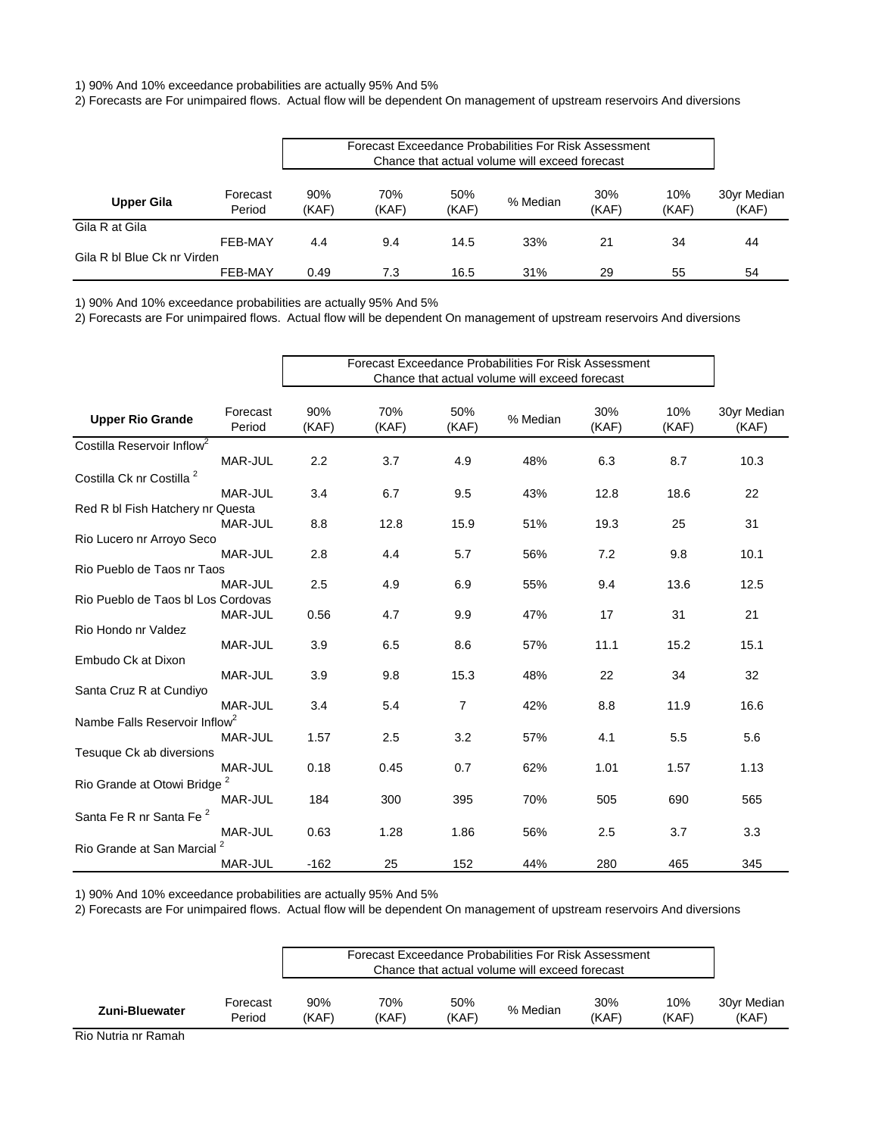2) Forecasts are For unimpaired flows. Actual flow will be dependent On management of upstream reservoirs And diversions

| <b>Upper Gila</b>           |                    |              | Forecast Exceedance Probabilities For Risk Assessment |              |          |              |              |                            |
|-----------------------------|--------------------|--------------|-------------------------------------------------------|--------------|----------|--------------|--------------|----------------------------|
|                             | Forecast<br>Period | 90%<br>(KAF) | 70%<br>(KAF)                                          | 50%<br>(KAF) | % Median | 30%<br>(KAF) | 10%<br>(KAF) | 30yr Median<br>(KAF)<br>44 |
| Gila R at Gila              |                    |              |                                                       |              |          |              |              |                            |
|                             | FEB-MAY            | 4.4          | 9.4                                                   | 14.5         | 33%      | 21           | 34           |                            |
| Gila R bl Blue Ck nr Virden |                    |              |                                                       |              |          |              |              |                            |
|                             | FEB-MAY            | 0.49         | 7.3                                                   | 16.5         | 31%      | 29           | 55           | 54                         |

1) 90% And 10% exceedance probabilities are actually 95% And 5%

2) Forecasts are For unimpaired flows. Actual flow will be dependent On management of upstream reservoirs And diversions

|                                           |                    | <b>Forecast Exceedance Probabilities For Risk Assessment</b><br>Chance that actual volume will exceed forecast |              |                |          |              |              |                      |
|-------------------------------------------|--------------------|----------------------------------------------------------------------------------------------------------------|--------------|----------------|----------|--------------|--------------|----------------------|
| <b>Upper Rio Grande</b>                   | Forecast<br>Period | 90%<br>(KAF)                                                                                                   | 70%<br>(KAF) | 50%<br>(KAF)   | % Median | 30%<br>(KAF) | 10%<br>(KAF) | 30yr Median<br>(KAF) |
| Costilla Reservoir Inflow <sup>2</sup>    |                    |                                                                                                                |              |                |          |              |              |                      |
|                                           | MAR-JUL            | 2.2                                                                                                            | 3.7          | 4.9            | 48%      | 6.3          | 8.7          | 10.3                 |
| Costilla Ck nr Costilla <sup>2</sup>      |                    |                                                                                                                |              |                |          |              |              |                      |
|                                           | MAR-JUL            | 3.4                                                                                                            | 6.7          | 9.5            | 43%      | 12.8         | 18.6         | 22                   |
| Red R bl Fish Hatchery nr Questa          |                    |                                                                                                                |              |                |          |              |              |                      |
|                                           | <b>MAR-JUL</b>     | 8.8                                                                                                            | 12.8         | 15.9           | 51%      | 19.3         | 25           | 31                   |
| Rio Lucero nr Arroyo Seco                 |                    |                                                                                                                |              |                |          |              |              |                      |
|                                           | <b>MAR-JUL</b>     | 2.8                                                                                                            | 4.4          | 5.7            | 56%      | 7.2          | 9.8          | 10.1                 |
| Rio Pueblo de Taos nr Taos                |                    |                                                                                                                |              |                |          |              |              |                      |
|                                           | MAR-JUL            | 2.5                                                                                                            | 4.9          | 6.9            | 55%      | 9.4          | 13.6         | 12.5                 |
| Rio Pueblo de Taos bl Los Cordovas        |                    |                                                                                                                |              |                |          |              |              |                      |
|                                           | MAR-JUL            | 0.56                                                                                                           | 4.7          | 9.9            | 47%      | 17           | 31           | 21                   |
| Rio Hondo nr Valdez                       |                    |                                                                                                                |              |                |          |              |              |                      |
|                                           | MAR-JUL            | 3.9                                                                                                            | 6.5          | 8.6            | 57%      | 11.1         | 15.2         | 15.1                 |
| Embudo Ck at Dixon                        |                    |                                                                                                                |              |                |          | 22           |              | 32                   |
|                                           | MAR-JUL            | 3.9                                                                                                            | 9.8          | 15.3           | 48%      |              | 34           |                      |
| Santa Cruz R at Cundiyo                   | MAR-JUL            | 3.4                                                                                                            | 5.4          | $\overline{7}$ | 42%      | 8.8          | 11.9         | 16.6                 |
| Nambe Falls Reservoir Inflow <sup>2</sup> |                    |                                                                                                                |              |                |          |              |              |                      |
|                                           | MAR-JUL            | 1.57                                                                                                           | 2.5          | 3.2            | 57%      | 4.1          | 5.5          | 5.6                  |
| Tesuque Ck ab diversions                  |                    |                                                                                                                |              |                |          |              |              |                      |
|                                           | MAR-JUL            | 0.18                                                                                                           | 0.45         | 0.7            | 62%      | 1.01         | 1.57         | 1.13                 |
| Rio Grande at Otowi Bridge                |                    |                                                                                                                |              |                |          |              |              |                      |
|                                           | MAR-JUL            | 184                                                                                                            | 300          | 395            | 70%      | 505          | 690          | 565                  |
| Santa Fe R nr Santa Fe <sup>2</sup>       |                    |                                                                                                                |              |                |          |              |              |                      |
|                                           | MAR-JUL            | 0.63                                                                                                           | 1.28         | 1.86           | 56%      | 2.5          | 3.7          | 3.3                  |
| Rio Grande at San Marcial                 | 2                  |                                                                                                                |              |                |          |              |              |                      |
|                                           | MAR-JUL            | $-162$                                                                                                         | 25           | 152            | 44%      | 280          | 465          | 345                  |
|                                           |                    |                                                                                                                |              |                |          |              |              |                      |

1) 90% And 10% exceedance probabilities are actually 95% And 5%

2) Forecasts are For unimpaired flows. Actual flow will be dependent On management of upstream reservoirs And diversions

|                |                    |              |              | Forecast Exceedance Probabilities For Risk Assessment<br>Chance that actual volume will exceed forecast |          |              |              |                      |  |
|----------------|--------------------|--------------|--------------|---------------------------------------------------------------------------------------------------------|----------|--------------|--------------|----------------------|--|
| Zuni-Bluewater | Forecast<br>Period | 90%<br>(KAF) | 70%<br>(KAF) | 50%<br>(KAF)                                                                                            | % Median | 30%<br>(KAF) | 10%<br>(KAF) | 30yr Median<br>(KAF) |  |

Rio Nutria nr Ramah